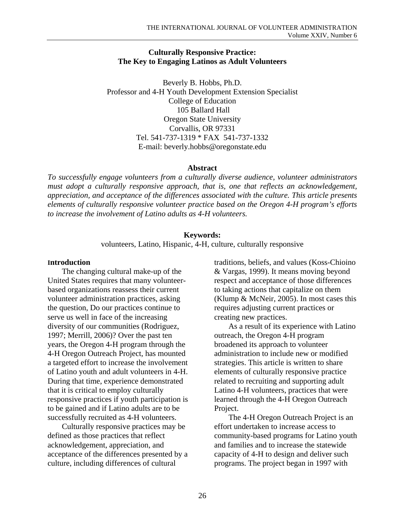#### **Culturally Responsive Practice: The Key to Engaging Latinos as Adult Volunteers**

Beverly B. Hobbs, Ph.D. Professor and 4-H Youth Development Extension Specialist College of Education 105 Ballard Hall Oregon State University Corvallis, OR 97331 Tel. 541-737-1319 \* FAX 541-737-1332 E-mail: beverly.hobbs@oregonstate.edu

#### **Abstract**

*To successfully engage volunteers from a culturally diverse audience, volunteer administrators must adopt a culturally responsive approach, that is, one that reflects an acknowledgement, appreciation, and acceptance of the differences associated with the culture. This article presents elements of culturally responsive volunteer practice based on the Oregon 4-H program's efforts to increase the involvement of Latino adults as 4-H volunteers.* 

#### **Keywords:**

volunteers, Latino, Hispanic, 4-H, culture, culturally responsive

#### **Introduction**

The changing cultural make-up of the United States requires that many volunteerbased organizations reassess their current volunteer administration practices, asking the question, Do our practices continue to serve us well in face of the increasing diversity of our communities (Rodriguez, 1997; Merrill, 2006)? Over the past ten years, the Oregon 4-H program through the 4-H Oregon Outreach Project, has mounted a targeted effort to increase the involvement of Latino youth and adult volunteers in 4-H. During that time, experience demonstrated that it is critical to employ culturally responsive practices if youth participation is to be gained and if Latino adults are to be successfully recruited as 4-H volunteers.

Culturally responsive practices may be defined as those practices that reflect acknowledgement, appreciation, and acceptance of the differences presented by a culture, including differences of cultural

traditions, beliefs, and values (Koss-Chioino & Vargas, 1999). It means moving beyond respect and acceptance of those differences to taking actions that capitalize on them (Klump & McNeir, 2005). In most cases this requires adjusting current practices or creating new practices.

As a result of its experience with Latino outreach, the Oregon 4-H program broadened its approach to volunteer administration to include new or modified strategies. This article is written to share elements of culturally responsive practice related to recruiting and supporting adult Latino 4-H volunteers, practices that were learned through the 4-H Oregon Outreach Project.

The 4-H Oregon Outreach Project is an effort undertaken to increase access to community-based programs for Latino youth and families and to increase the statewide capacity of 4-H to design and deliver such programs. The project began in 1997 with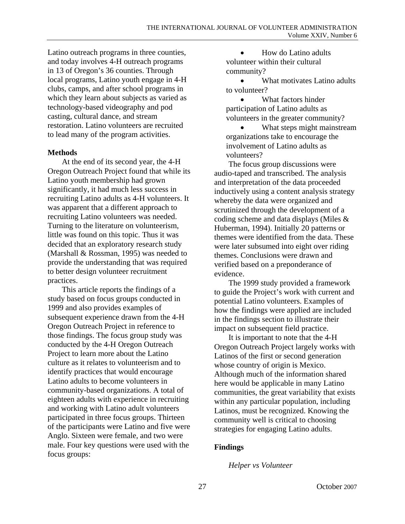Latino outreach programs in three counties, and today involves 4-H outreach programs in 13 of Oregon's 36 counties. Through local programs, Latino youth engage in 4-H clubs, camps, and after school programs in which they learn about subjects as varied as technology-based videography and pod casting, cultural dance, and stream restoration. Latino volunteers are recruited to lead many of the program activities.

### **Methods**

At the end of its second year, the 4-H Oregon Outreach Project found that while its Latino youth membership had grown significantly, it had much less success in recruiting Latino adults as 4-H volunteers. It was apparent that a different approach to recruiting Latino volunteers was needed. Turning to the literature on volunteerism, little was found on this topic. Thus it was decided that an exploratory research study (Marshall & Rossman, 1995) was needed to provide the understanding that was required to better design volunteer recruitment practices.

This article reports the findings of a study based on focus groups conducted in 1999 and also provides examples of subsequent experience drawn from the 4-H Oregon Outreach Project in reference to those findings. The focus group study was conducted by the 4-H Oregon Outreach Project to learn more about the Latino culture as it relates to volunteerism and to identify practices that would encourage Latino adults to become volunteers in community-based organizations. A total of eighteen adults with experience in recruiting and working with Latino adult volunteers participated in three focus groups. Thirteen of the participants were Latino and five were Anglo. Sixteen were female, and two were male. Four key questions were used with the focus groups:

• How do Latino adults volunteer within their cultural community?

• What motivates Latino adults to volunteer?

• What factors hinder participation of Latino adults as volunteers in the greater community?

What steps might mainstream organizations take to encourage the involvement of Latino adults as volunteers?

The focus group discussions were audio-taped and transcribed. The analysis and interpretation of the data proceeded inductively using a content analysis strategy whereby the data were organized and scrutinized through the development of a coding scheme and data displays (Miles & Huberman, 1994). Initially 20 patterns or themes were identified from the data. These were later subsumed into eight over riding themes. Conclusions were drawn and verified based on a preponderance of evidence.

The 1999 study provided a framework to guide the Project's work with current and potential Latino volunteers. Examples of how the findings were applied are included in the findings section to illustrate their impact on subsequent field practice.

It is important to note that the 4-H Oregon Outreach Project largely works with Latinos of the first or second generation whose country of origin is Mexico. Although much of the information shared here would be applicable in many Latino communities, the great variability that exists within any particular population, including Latinos, must be recognized. Knowing the community well is critical to choosing strategies for engaging Latino adults.

### **Findings**

### *Helper vs Volunteer*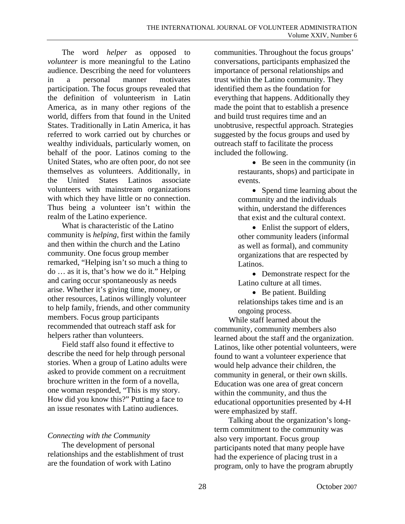The word *helper* as opposed to *volunteer* is more meaningful to the Latino audience. Describing the need for volunteers in a personal manner motivates participation. The focus groups revealed that the definition of volunteerism in Latin America, as in many other regions of the world, differs from that found in the United States. Traditionally in Latin America, it has referred to work carried out by churches or wealthy individuals, particularly women, on behalf of the poor. Latinos coming to the United States, who are often poor, do not see themselves as volunteers. Additionally, in the United States Latinos associate volunteers with mainstream organizations with which they have little or no connection. Thus being a volunteer isn't within the realm of the Latino experience.

What is characteristic of the Latino community is *helping*, first within the family and then within the church and the Latino community. One focus group member remarked, "Helping isn't so much a thing to do … as it is, that's how we do it." Helping and caring occur spontaneously as needs arise. Whether it's giving time, money, or other resources, Latinos willingly volunteer to help family, friends, and other community members. Focus group participants recommended that outreach staff ask for helpers rather than volunteers.

Field staff also found it effective to describe the need for help through personal stories. When a group of Latino adults were asked to provide comment on a recruitment brochure written in the form of a novella, one woman responded, "This is my story. How did you know this?" Putting a face to an issue resonates with Latino audiences.

### *Connecting with the Community*

The development of personal relationships and the establishment of trust are the foundation of work with Latino

communities. Throughout the focus groups' conversations, participants emphasized the importance of personal relationships and trust within the Latino community. They identified them as the foundation for everything that happens. Additionally they made the point that to establish a presence and build trust requires time and an unobtrusive, respectful approach. Strategies suggested by the focus groups and used by outreach staff to facilitate the process included the following.

> • Be seen in the community (in restaurants, shops) and participate in events.

• Spend time learning about the community and the individuals within, understand the differences that exist and the cultural context.

• Enlist the support of elders, other community leaders (informal as well as formal), and community organizations that are respected by Latinos.

• Demonstrate respect for the Latino culture at all times.

• Be patient. Building relationships takes time and is an ongoing process.

While staff learned about the community, community members also learned about the staff and the organization. Latinos, like other potential volunteers, were found to want a volunteer experience that would help advance their children, the community in general, or their own skills. Education was one area of great concern within the community, and thus the educational opportunities presented by 4-H were emphasized by staff.

Talking about the organization's longterm commitment to the community was also very important. Focus group participants noted that many people have had the experience of placing trust in a program, only to have the program abruptly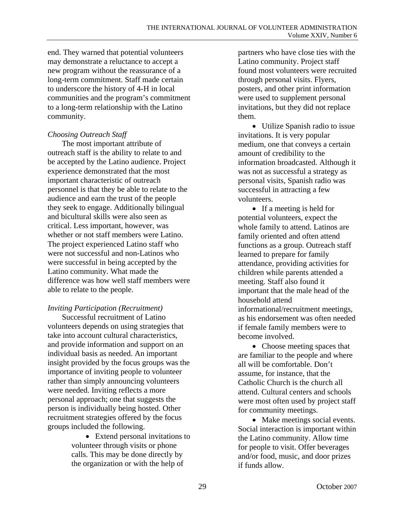end. They warned that potential volunteers may demonstrate a reluctance to accept a new program without the reassurance of a long-term commitment. Staff made certain to underscore the history of 4-H in local communities and the program's commitment to a long-term relationship with the Latino community.

## *Choosing Outreach Staff*

The most important attribute of outreach staff is the ability to relate to and be accepted by the Latino audience. Project experience demonstrated that the most important characteristic of outreach personnel is that they be able to relate to the audience and earn the trust of the people they seek to engage. Additionally bilingual and bicultural skills were also seen as critical. Less important, however, was whether or not staff members were Latino. The project experienced Latino staff who were not successful and non-Latinos who were successful in being accepted by the Latino community. What made the difference was how well staff members were able to relate to the people.

# *Inviting Participation (Recruitment)*

Successful recruitment of Latino volunteers depends on using strategies that take into account cultural characteristics, and provide information and support on an individual basis as needed. An important insight provided by the focus groups was the importance of inviting people to volunteer rather than simply announcing volunteers were needed. Inviting reflects a more personal approach; one that suggests the person is individually being hosted. Other recruitment strategies offered by the focus groups included the following.

> • Extend personal invitations to volunteer through visits or phone calls. This may be done directly by the organization or with the help of

partners who have close ties with the Latino community. Project staff found most volunteers were recruited through personal visits. Flyers, posters, and other print information were used to supplement personal invitations, but they did not replace them.

• Utilize Spanish radio to issue invitations. It is very popular medium, one that conveys a certain amount of credibility to the information broadcasted. Although it was not as successful a strategy as personal visits, Spanish radio was successful in attracting a few volunteers.

• If a meeting is held for potential volunteers, expect the whole family to attend. Latinos are family oriented and often attend functions as a group. Outreach staff learned to prepare for family attendance, providing activities for children while parents attended a meeting. Staff also found it important that the male head of the household attend informational/recruitment meetings, as his endorsement was often needed if female family members were to become involved.

• Choose meeting spaces that are familiar to the people and where all will be comfortable. Don't assume, for instance, that the Catholic Church is the church all attend. Cultural centers and schools were most often used by project staff for community meetings.

• Make meetings social events. Social interaction is important within the Latino community. Allow time for people to visit. Offer beverages and/or food, music, and door prizes if funds allow.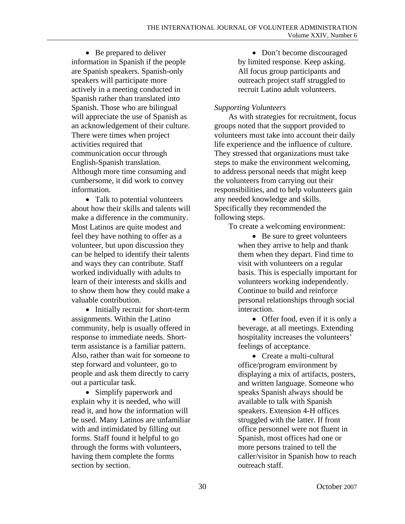• Be prepared to deliver information in Spanish if the people are Spanish speakers. Spanish-only speakers will participate more actively in a meeting conducted in Spanish rather than translated into Spanish. Those who are bilingual will appreciate the use of Spanish as an acknowledgement of their culture. There were times when project activities required that communication occur through English-Spanish translation. Although more time consuming and cumbersome, it did work to convey information.

• Talk to potential volunteers about how their skills and talents will make a difference in the community. Most Latinos are quite modest and feel they have nothing to offer as a volunteer, but upon discussion they can be helped to identify their talents and ways they can contribute. Staff worked individually with adults to learn of their interests and skills and to show them how they could make a valuable contribution.

• Initially recruit for short-term assignments. Within the Latino community, help is usually offered in response to immediate needs. Shortterm assistance is a familiar pattern. Also, rather than wait for someone to step forward and volunteer, go to people and ask them directly to carry out a particular task.

• Simplify paperwork and explain why it is needed, who will read it, and how the information will be used. Many Latinos are unfamiliar with and intimidated by filling out forms. Staff found it helpful to go through the forms with volunteers, having them complete the forms section by section.

• Don't become discouraged by limited response. Keep asking. All focus group participants and outreach project staff struggled to recruit Latino adult volunteers.

### *Supporting Volunteers*

As with strategies for recruitment, focus groups noted that the support provided to volunteers must take into account their daily life experience and the influence of culture. They stressed that organizations must take steps to make the environment welcoming, to address personal needs that might keep the volunteers from carrying out their responsibilities, and to help volunteers gain any needed knowledge and skills. Specifically they recommended the following steps.

To create a welcoming environment:

• Be sure to greet volunteers when they arrive to help and thank them when they depart. Find time to visit with volunteers on a regular basis. This is especially important for volunteers working independently. Continue to build and reinforce personal relationships through social interaction.

• Offer food, even if it is only a beverage, at all meetings. Extending hospitality increases the volunteers' feelings of acceptance.

• Create a multi-cultural office/program environment by displaying a mix of artifacts, posters, and written language. Someone who speaks Spanish always should be available to talk with Spanish speakers. Extension 4-H offices struggled with the latter. If front office personnel were not fluent in Spanish, most offices had one or more persons trained to tell the caller/visitor in Spanish how to reach outreach staff.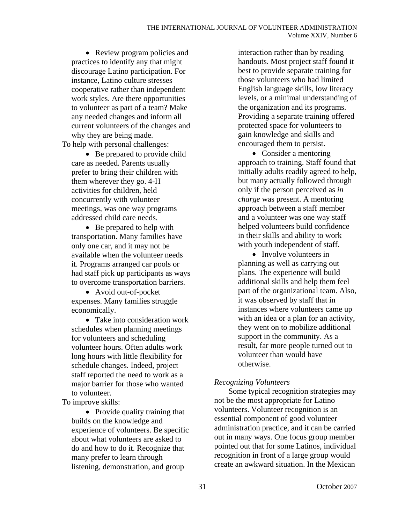• Review program policies and practices to identify any that might discourage Latino participation. For instance, Latino culture stresses cooperative rather than independent work styles. Are there opportunities to volunteer as part of a team? Make any needed changes and inform all current volunteers of the changes and why they are being made.

To help with personal challenges:

• Be prepared to provide child care as needed. Parents usually prefer to bring their children with them wherever they go. 4-H activities for children, held concurrently with volunteer meetings, was one way programs addressed child care needs.

• Be prepared to help with transportation. Many families have only one car, and it may not be available when the volunteer needs it. Programs arranged car pools or had staff pick up participants as ways to overcome transportation barriers.

• Avoid out-of-pocket expenses. Many families struggle economically.

• Take into consideration work schedules when planning meetings for volunteers and scheduling volunteer hours. Often adults work long hours with little flexibility for schedule changes. Indeed, project staff reported the need to work as a major barrier for those who wanted to volunteer.

To improve skills:

• Provide quality training that builds on the knowledge and experience of volunteers. Be specific about what volunteers are asked to do and how to do it. Recognize that many prefer to learn through listening, demonstration, and group

interaction rather than by reading handouts. Most project staff found it best to provide separate training for those volunteers who had limited English language skills, low literacy levels, or a minimal understanding of the organization and its programs. Providing a separate training offered protected space for volunteers to gain knowledge and skills and encouraged them to persist.

• Consider a mentoring approach to training. Staff found that initially adults readily agreed to help, but many actually followed through only if the person perceived as *in charge* was present. A mentoring approach between a staff member and a volunteer was one way staff helped volunteers build confidence in their skills and ability to work with youth independent of staff.

• Involve volunteers in planning as well as carrying out plans. The experience will build additional skills and help them feel part of the organizational team. Also, it was observed by staff that in instances where volunteers came up with an idea or a plan for an activity, they went on to mobilize additional support in the community. As a result, far more people turned out to volunteer than would have otherwise.

# *Recognizing Volunteers*

Some typical recognition strategies may not be the most appropriate for Latino volunteers. Volunteer recognition is an essential component of good volunteer administration practice, and it can be carried out in many ways. One focus group member pointed out that for some Latinos, individual recognition in front of a large group would create an awkward situation. In the Mexican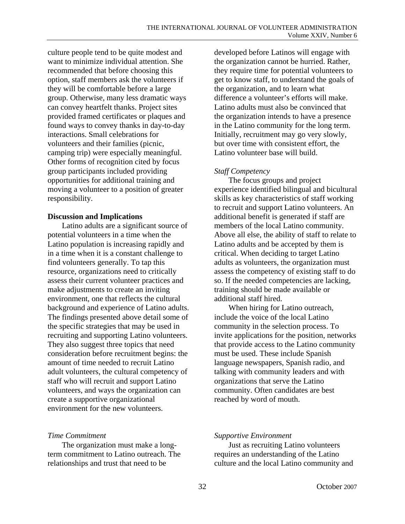culture people tend to be quite modest and want to minimize individual attention. She recommended that before choosing this option, staff members ask the volunteers if they will be comfortable before a large group. Otherwise, many less dramatic ways can convey heartfelt thanks. Project sites provided framed certificates or plaques and found ways to convey thanks in day-to-day interactions. Small celebrations for volunteers and their families (picnic, camping trip) were especially meaningful. Other forms of recognition cited by focus group participants included providing opportunities for additional training and moving a volunteer to a position of greater responsibility.

### **Discussion and Implications**

Latino adults are a significant source of potential volunteers in a time when the Latino population is increasing rapidly and in a time when it is a constant challenge to find volunteers generally. To tap this resource, organizations need to critically assess their current volunteer practices and make adjustments to create an inviting environment, one that reflects the cultural background and experience of Latino adults. The findings presented above detail some of the specific strategies that may be used in recruiting and supporting Latino volunteers. They also suggest three topics that need consideration before recruitment begins: the amount of time needed to recruit Latino adult volunteers, the cultural competency of staff who will recruit and support Latino volunteers, and ways the organization can create a supportive organizational environment for the new volunteers.

### *Time Commitment*

The organization must make a longterm commitment to Latino outreach. The relationships and trust that need to be

developed before Latinos will engage with the organization cannot be hurried. Rather, they require time for potential volunteers to get to know staff, to understand the goals of the organization, and to learn what difference a volunteer's efforts will make. Latino adults must also be convinced that the organization intends to have a presence in the Latino community for the long term. Initially, recruitment may go very slowly, but over time with consistent effort, the Latino volunteer base will build.

# *Staff Competency*

The focus groups and project experience identified bilingual and bicultural skills as key characteristics of staff working to recruit and support Latino volunteers. An additional benefit is generated if staff are members of the local Latino community. Above all else, the ability of staff to relate to Latino adults and be accepted by them is critical. When deciding to target Latino adults as volunteers, the organization must assess the competency of existing staff to do so. If the needed competencies are lacking, training should be made available or additional staff hired.

When hiring for Latino outreach, include the voice of the local Latino community in the selection process. To invite applications for the position, networks that provide access to the Latino community must be used. These include Spanish language newspapers, Spanish radio, and talking with community leaders and with organizations that serve the Latino community. Often candidates are best reached by word of mouth.

### *Supportive Environment*

Just as recruiting Latino volunteers requires an understanding of the Latino culture and the local Latino community and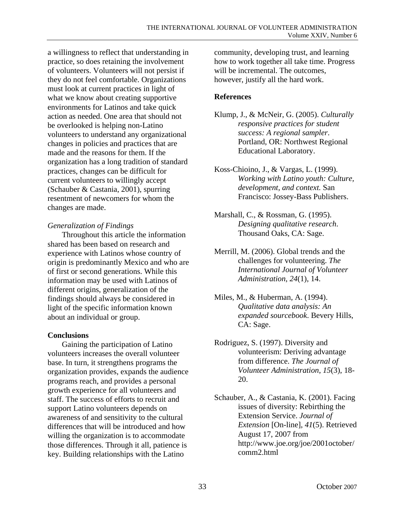a willingness to reflect that understanding in practice, so does retaining the involvement of volunteers. Volunteers will not persist if they do not feel comfortable. Organizations must look at current practices in light of what we know about creating supportive environments for Latinos and take quick action as needed. One area that should not be overlooked is helping non-Latino volunteers to understand any organizational changes in policies and practices that are made and the reasons for them. If the organization has a long tradition of standard practices, changes can be difficult for current volunteers to willingly accept (Schauber & Castania, 2001), spurring resentment of newcomers for whom the changes are made.

### *Generalization of Findings*

Throughout this article the information shared has been based on research and experience with Latinos whose country of origin is predominantly Mexico and who are of first or second generations. While this information may be used with Latinos of different origins, generalization of the findings should always be considered in light of the specific information known about an individual or group.

### **Conclusions**

Gaining the participation of Latino volunteers increases the overall volunteer base. In turn, it strengthens programs the organization provides, expands the audience programs reach, and provides a personal growth experience for all volunteers and staff. The success of efforts to recruit and support Latino volunteers depends on awareness of and sensitivity to the cultural differences that will be introduced and how willing the organization is to accommodate those differences. Through it all, patience is key. Building relationships with the Latino

community, developing trust, and learning how to work together all take time. Progress will be incremental. The outcomes, however, justify all the hard work.

## **References**

- Klump, J., & McNeir, G. (2005). *Culturally responsive practices for student success: A regional sampler*. Portland, OR: Northwest Regional Educational Laboratory.
- Koss-Chioino, J., & Vargas, L. (1999). *Working with Latino youth: Culture, development, and context.* San Francisco: Jossey-Bass Publishers.
- Marshall, C., & Rossman, G. (1995). *Designing qualitative research*. Thousand Oaks, CA: Sage.
- Merrill, M. (2006). Global trends and the challenges for volunteering. *The International Journal of Volunteer Administration*, *24*(1), 14.
- Miles, M., & Huberman, A. (1994). *Qualitative data analysis: An expanded sourcebook*. Bevery Hills, CA: Sage.
- Rodriguez, S. (1997). Diversity and volunteerism: Deriving advantage from difference. *The Journal of Volunteer Administration*, *15*(3), 18- 20.
- Schauber, A., & Castania, K. (2001). Facing issues of diversity: Rebirthing the Extension Service. *Journal of Extension* [On-line], *41*(5). Retrieved August 17, 2007 from http://www.joe.org/joe/2001october/ comm2.html